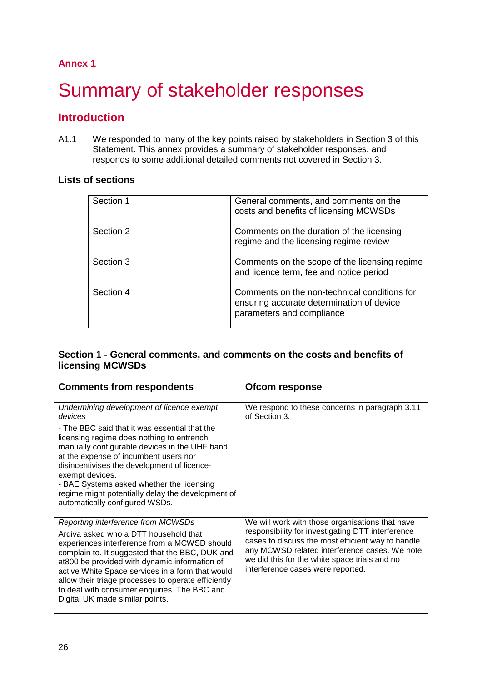## **Annex 1**

# Summary of stakeholder responses

# **Introduction**

A1.1 We responded to many of the key points raised by stakeholders in Section 3 of this Statement. This annex provides a summary of stakeholder responses, and responds to some additional detailed comments not covered in Section 3.

#### **Lists of sections**

| Section 1 | General comments, and comments on the<br>costs and benefits of licensing MCWSDs                                        |
|-----------|------------------------------------------------------------------------------------------------------------------------|
| Section 2 | Comments on the duration of the licensing<br>regime and the licensing regime review                                    |
| Section 3 | Comments on the scope of the licensing regime<br>and licence term, fee and notice period                               |
| Section 4 | Comments on the non-technical conditions for<br>ensuring accurate determination of device<br>parameters and compliance |

#### **Section 1 - General comments, and comments on the costs and benefits of licensing MCWSDs**

| <b>Comments from respondents</b>                                                                                                                                                                                                                                                                                                                                                                                              | Ofcom response                                                                                                                                                                                                                                                                                   |
|-------------------------------------------------------------------------------------------------------------------------------------------------------------------------------------------------------------------------------------------------------------------------------------------------------------------------------------------------------------------------------------------------------------------------------|--------------------------------------------------------------------------------------------------------------------------------------------------------------------------------------------------------------------------------------------------------------------------------------------------|
| Undermining development of licence exempt<br>devices                                                                                                                                                                                                                                                                                                                                                                          | We respond to these concerns in paragraph 3.11<br>of Section 3.                                                                                                                                                                                                                                  |
| - The BBC said that it was essential that the<br>licensing regime does nothing to entrench<br>manually configurable devices in the UHF band<br>at the expense of incumbent users nor<br>disincentivises the development of licence-<br>exempt devices.<br>- BAE Systems asked whether the licensing<br>regime might potentially delay the development of<br>automatically configured WSDs.                                    |                                                                                                                                                                                                                                                                                                  |
| Reporting interference from MCWSDs<br>Argiva asked who a DTT household that<br>experiences interference from a MCWSD should<br>complain to. It suggested that the BBC, DUK and<br>at800 be provided with dynamic information of<br>active White Space services in a form that would<br>allow their triage processes to operate efficiently<br>to deal with consumer enquiries. The BBC and<br>Digital UK made similar points. | We will work with those organisations that have<br>responsibility for investigating DTT interference<br>cases to discuss the most efficient way to handle<br>any MCWSD related interference cases. We note<br>we did this for the white space trials and no<br>interference cases were reported. |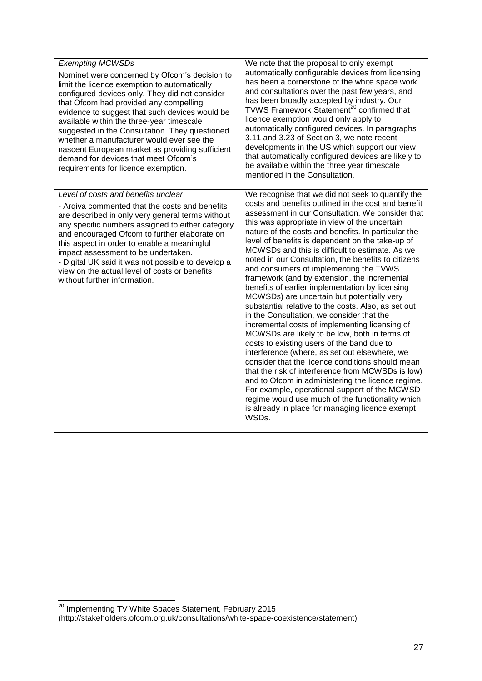| <b>Exempting MCWSDs</b><br>Nominet were concerned by Ofcom's decision to<br>limit the licence exemption to automatically<br>configured devices only. They did not consider<br>that Ofcom had provided any compelling<br>evidence to suggest that such devices would be<br>available within the three-year timescale<br>suggested in the Consultation. They questioned<br>whether a manufacturer would ever see the<br>nascent European market as providing sufficient<br>demand for devices that meet Ofcom's<br>requirements for licence exemption. | We note that the proposal to only exempt<br>automatically configurable devices from licensing<br>has been a cornerstone of the white space work<br>and consultations over the past few years, and<br>has been broadly accepted by industry. Our<br>TVWS Framework Statement <sup>20</sup> confirmed that<br>licence exemption would only apply to<br>automatically configured devices. In paragraphs<br>3.11 and 3.23 of Section 3, we note recent<br>developments in the US which support our view<br>that automatically configured devices are likely to<br>be available within the three year timescale<br>mentioned in the Consultation.                                                                                                                                                                                                                                                                                                                                                                                                                                                                                                                                                                                                                       |
|------------------------------------------------------------------------------------------------------------------------------------------------------------------------------------------------------------------------------------------------------------------------------------------------------------------------------------------------------------------------------------------------------------------------------------------------------------------------------------------------------------------------------------------------------|--------------------------------------------------------------------------------------------------------------------------------------------------------------------------------------------------------------------------------------------------------------------------------------------------------------------------------------------------------------------------------------------------------------------------------------------------------------------------------------------------------------------------------------------------------------------------------------------------------------------------------------------------------------------------------------------------------------------------------------------------------------------------------------------------------------------------------------------------------------------------------------------------------------------------------------------------------------------------------------------------------------------------------------------------------------------------------------------------------------------------------------------------------------------------------------------------------------------------------------------------------------------|
| Level of costs and benefits unclear<br>- Argiva commented that the costs and benefits<br>are described in only very general terms without<br>any specific numbers assigned to either category<br>and encouraged Ofcom to further elaborate on<br>this aspect in order to enable a meaningful<br>impact assessment to be undertaken.<br>- Digital UK said it was not possible to develop a<br>view on the actual level of costs or benefits<br>without further information.                                                                           | We recognise that we did not seek to quantify the<br>costs and benefits outlined in the cost and benefit<br>assessment in our Consultation. We consider that<br>this was appropriate in view of the uncertain<br>nature of the costs and benefits. In particular the<br>level of benefits is dependent on the take-up of<br>MCWSDs and this is difficult to estimate. As we<br>noted in our Consultation, the benefits to citizens<br>and consumers of implementing the TVWS<br>framework (and by extension, the incremental<br>benefits of earlier implementation by licensing<br>MCWSDs) are uncertain but potentially very<br>substantial relative to the costs. Also, as set out<br>in the Consultation, we consider that the<br>incremental costs of implementing licensing of<br>MCWSDs are likely to be low, both in terms of<br>costs to existing users of the band due to<br>interference (where, as set out elsewhere, we<br>consider that the licence conditions should mean<br>that the risk of interference from MCWSDs is low)<br>and to Ofcom in administering the licence regime.<br>For example, operational support of the MCWSD<br>regime would use much of the functionality which<br>is already in place for managing licence exempt<br>WSDs. |

-

<sup>&</sup>lt;sup>20</sup> Implementing TV White Spaces Statement, February 2015

<sup>(</sup>http://stakeholders.ofcom.org.uk/consultations/white-space-coexistence/statement)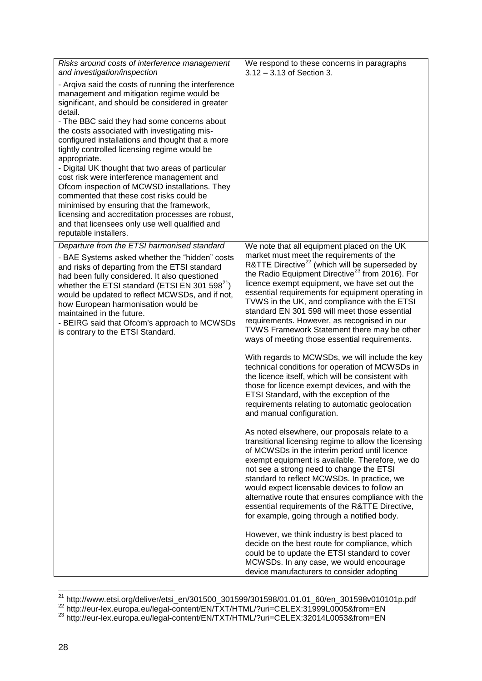| Risks around costs of interference management<br>and investigation/inspection<br>- Argiva said the costs of running the interference<br>management and mitigation regime would be<br>significant, and should be considered in greater<br>detail.<br>- The BBC said they had some concerns about<br>the costs associated with investigating mis-<br>configured installations and thought that a more<br>tightly controlled licensing regime would be<br>appropriate.<br>- Digital UK thought that two areas of particular<br>cost risk were interference management and<br>Ofcom inspection of MCWSD installations. They<br>commented that these cost risks could be<br>minimised by ensuring that the framework,<br>licensing and accreditation processes are robust,<br>and that licensees only use well qualified and<br>reputable installers. | We respond to these concerns in paragraphs<br>$3.12 - 3.13$ of Section 3.                                                                                                                                                                                                                                                                                                                                                                                                                                                                                                                                                                                                                                                                                                                                                                                                                                                                                                                                                                                                                                                                                                                                                                                                                                                                                                                                                                                                                                                                                                                                                                                                    |
|--------------------------------------------------------------------------------------------------------------------------------------------------------------------------------------------------------------------------------------------------------------------------------------------------------------------------------------------------------------------------------------------------------------------------------------------------------------------------------------------------------------------------------------------------------------------------------------------------------------------------------------------------------------------------------------------------------------------------------------------------------------------------------------------------------------------------------------------------|------------------------------------------------------------------------------------------------------------------------------------------------------------------------------------------------------------------------------------------------------------------------------------------------------------------------------------------------------------------------------------------------------------------------------------------------------------------------------------------------------------------------------------------------------------------------------------------------------------------------------------------------------------------------------------------------------------------------------------------------------------------------------------------------------------------------------------------------------------------------------------------------------------------------------------------------------------------------------------------------------------------------------------------------------------------------------------------------------------------------------------------------------------------------------------------------------------------------------------------------------------------------------------------------------------------------------------------------------------------------------------------------------------------------------------------------------------------------------------------------------------------------------------------------------------------------------------------------------------------------------------------------------------------------------|
| Departure from the ETSI harmonised standard<br>- BAE Systems asked whether the "hidden" costs<br>and risks of departing from the ETSI standard<br>had been fully considered. It also questioned<br>whether the ETSI standard (ETSI EN 301 598 $^{21}$ )<br>would be updated to reflect MCWSDs, and if not,<br>how European harmonisation would be<br>maintained in the future.<br>- BEIRG said that Ofcom's approach to MCWSDs<br>is contrary to the ETSI Standard.                                                                                                                                                                                                                                                                                                                                                                              | We note that all equipment placed on the UK<br>market must meet the requirements of the<br>R&TTE Directive <sup>22</sup> (which will be superseded by<br>the Radio Equipment Directive <sup>23</sup> from 2016). For<br>licence exempt equipment, we have set out the<br>essential requirements for equipment operating in<br>TVWS in the UK, and compliance with the ETSI<br>standard EN 301 598 will meet those essential<br>requirements. However, as recognised in our<br>TVWS Framework Statement there may be other<br>ways of meeting those essential requirements.<br>With regards to MCWSDs, we will include the key<br>technical conditions for operation of MCWSDs in<br>the licence itself, which will be consistent with<br>those for licence exempt devices, and with the<br>ETSI Standard, with the exception of the<br>requirements relating to automatic geolocation<br>and manual configuration.<br>As noted elsewhere, our proposals relate to a<br>transitional licensing regime to allow the licensing<br>of MCWSDs in the interim period until licence<br>exempt equipment is available. Therefore, we do<br>not see a strong need to change the ETSI<br>standard to reflect MCWSDs. In practice, we<br>would expect licensable devices to follow an<br>alternative route that ensures compliance with the<br>essential requirements of the R&TTE Directive,<br>for example, going through a notified body.<br>However, we think industry is best placed to<br>decide on the best route for compliance, which<br>could be to update the ETSI standard to cover<br>MCWSDs. In any case, we would encourage<br>device manufacturers to consider adopting |

 $\overline{a}$  $^{21}$  http://www.etsi.org/deliver/etsi\_en/301500\_301599/301598/01.01.01\_60/en\_301598v010101p.pdf

<sup>&</sup>lt;sup>22</sup> http://eur-lex.europa.eu/legal-content/EN/TXT/HTML/?uri=CELEX:31999L0005&from=EN

<sup>&</sup>lt;sup>23</sup> http://eur-lex.europa.eu/legal-content/EN/TXT/HTML/?uri=CELEX:32014L0053&from=EN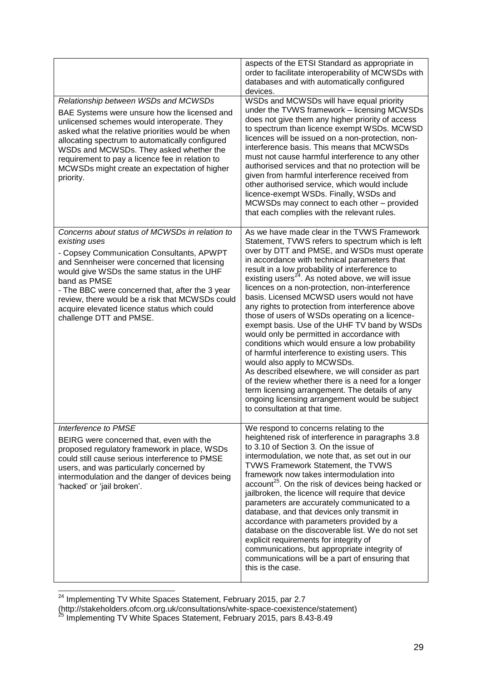|                                                                                                                                                                                                                                                                                                                                                                                                            | aspects of the ETSI Standard as appropriate in<br>order to facilitate interoperability of MCWSDs with<br>databases and with automatically configured<br>devices.                                                                                                                                                                                                                                                                                                                                                                                                                                                                                                                                                                                                                                                                                                                                                                                                                                         |
|------------------------------------------------------------------------------------------------------------------------------------------------------------------------------------------------------------------------------------------------------------------------------------------------------------------------------------------------------------------------------------------------------------|----------------------------------------------------------------------------------------------------------------------------------------------------------------------------------------------------------------------------------------------------------------------------------------------------------------------------------------------------------------------------------------------------------------------------------------------------------------------------------------------------------------------------------------------------------------------------------------------------------------------------------------------------------------------------------------------------------------------------------------------------------------------------------------------------------------------------------------------------------------------------------------------------------------------------------------------------------------------------------------------------------|
| Relationship between WSDs and MCWSDs<br>BAE Systems were unsure how the licensed and<br>unlicensed schemes would interoperate. They<br>asked what the relative priorities would be when<br>allocating spectrum to automatically configured<br>WSDs and MCWSDs. They asked whether the<br>requirement to pay a licence fee in relation to<br>MCWSDs might create an expectation of higher<br>priority.      | WSDs and MCWSDs will have equal priority<br>under the TVWS framework - licensing MCWSDs<br>does not give them any higher priority of access<br>to spectrum than licence exempt WSDs. MCWSD<br>licences will be issued on a non-protection, non-<br>interference basis. This means that MCWSDs<br>must not cause harmful interference to any other<br>authorised services and that no protection will be<br>given from harmful interference received from<br>other authorised service, which would include<br>licence-exempt WSDs. Finally, WSDs and<br>MCWSDs may connect to each other – provided<br>that each complies with the relevant rules.                                                                                                                                                                                                                                                                                                                                                        |
| Concerns about status of MCWSDs in relation to<br>existing uses<br>- Copsey Communication Consultants, APWPT<br>and Sennheiser were concerned that licensing<br>would give WSDs the same status in the UHF<br>band as PMSE<br>- The BBC were concerned that, after the 3 year<br>review, there would be a risk that MCWSDs could<br>acquire elevated licence status which could<br>challenge DTT and PMSE. | As we have made clear in the TVWS Framework<br>Statement, TVWS refers to spectrum which is left<br>over by DTT and PMSE, and WSDs must operate<br>in accordance with technical parameters that<br>result in a low probability of interference to<br>existing users <sup>24</sup> . As noted above, we will issue<br>licences on a non-protection, non-interference<br>basis. Licensed MCWSD users would not have<br>any rights to protection from interference above<br>those of users of WSDs operating on a licence-<br>exempt basis. Use of the UHF TV band by WSDs<br>would only be permitted in accordance with<br>conditions which would ensure a low probability<br>of harmful interference to existing users. This<br>would also apply to MCWSDs.<br>As described elsewhere, we will consider as part<br>of the review whether there is a need for a longer<br>term licensing arrangement. The details of any<br>ongoing licensing arrangement would be subject<br>to consultation at that time. |
| Interference to PMSE<br>BEIRG were concerned that, even with the<br>proposed regulatory framework in place, WSDs<br>could still cause serious interference to PMSE<br>users, and was particularly concerned by<br>intermodulation and the danger of devices being<br>'hacked' or 'jail broken'.                                                                                                            | We respond to concerns relating to the<br>heightened risk of interference in paragraphs 3.8<br>to 3.10 of Section 3. On the issue of<br>intermodulation, we note that, as set out in our<br><b>TVWS Framework Statement, the TVWS</b><br>framework now takes intermodulation into<br>account <sup>25</sup> . On the risk of devices being hacked or<br>jailbroken, the licence will require that device<br>parameters are accurately communicated to a<br>database, and that devices only transmit in<br>accordance with parameters provided by a<br>database on the discoverable list. We do not set<br>explicit requirements for integrity of<br>communications, but appropriate integrity of<br>communications will be a part of ensuring that<br>this is the case.                                                                                                                                                                                                                                   |

 $\overline{a}$  $24$  Implementing TV White Spaces Statement, February 2015, par 2.7

<sup>(</sup>http://stakeholders.ofcom.org.uk/consultations/white-space-coexistence/statement)

<sup>&</sup>lt;sup>25</sup> Implementing TV White Spaces Statement, February 2015, pars 8.43-8.49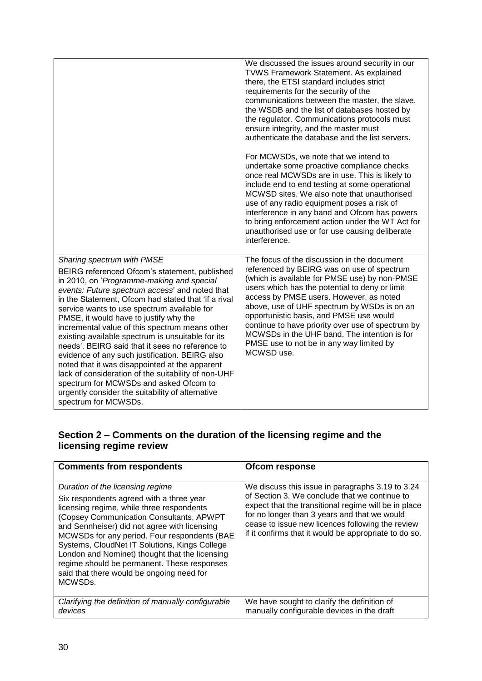|                                                                                                                                                                                                                                                                                                                                                                                                                                                                                                                                                                                                                                                                                                                                                                       | We discussed the issues around security in our<br><b>TVWS Framework Statement. As explained</b><br>there, the ETSI standard includes strict<br>requirements for the security of the<br>communications between the master, the slave,<br>the WSDB and the list of databases hosted by<br>the regulator. Communications protocols must<br>ensure integrity, and the master must<br>authenticate the database and the list servers.<br>For MCWSDs, we note that we intend to<br>undertake some proactive compliance checks<br>once real MCWSDs are in use. This is likely to<br>include end to end testing at some operational<br>MCWSD sites. We also note that unauthorised<br>use of any radio equipment poses a risk of<br>interference in any band and Ofcom has powers<br>to bring enforcement action under the WT Act for<br>unauthorised use or for use causing deliberate<br>interference. |
|-----------------------------------------------------------------------------------------------------------------------------------------------------------------------------------------------------------------------------------------------------------------------------------------------------------------------------------------------------------------------------------------------------------------------------------------------------------------------------------------------------------------------------------------------------------------------------------------------------------------------------------------------------------------------------------------------------------------------------------------------------------------------|--------------------------------------------------------------------------------------------------------------------------------------------------------------------------------------------------------------------------------------------------------------------------------------------------------------------------------------------------------------------------------------------------------------------------------------------------------------------------------------------------------------------------------------------------------------------------------------------------------------------------------------------------------------------------------------------------------------------------------------------------------------------------------------------------------------------------------------------------------------------------------------------------|
| Sharing spectrum with PMSE<br>BEIRG referenced Ofcom's statement, published<br>in 2010, on 'Programme-making and special<br>events: Future spectrum access' and noted that<br>in the Statement, Ofcom had stated that 'if a rival<br>service wants to use spectrum available for<br>PMSE, it would have to justify why the<br>incremental value of this spectrum means other<br>existing available spectrum is unsuitable for its<br>needs'. BEIRG said that it sees no reference to<br>evidence of any such justification. BEIRG also<br>noted that it was disappointed at the apparent<br>lack of consideration of the suitability of non-UHF<br>spectrum for MCWSDs and asked Ofcom to<br>urgently consider the suitability of alternative<br>spectrum for MCWSDs. | The focus of the discussion in the document<br>referenced by BEIRG was on use of spectrum<br>(which is available for PMSE use) by non-PMSE<br>users which has the potential to deny or limit<br>access by PMSE users. However, as noted<br>above, use of UHF spectrum by WSDs is on an<br>opportunistic basis, and PMSE use would<br>continue to have priority over use of spectrum by<br>MCWSDs in the UHF band. The intention is for<br>PMSE use to not be in any way limited by<br>MCWSD use.                                                                                                                                                                                                                                                                                                                                                                                                 |

### **Section 2 – Comments on the duration of the licensing regime and the licensing regime review**

| <b>Comments from respondents</b>                                                                                                                                                                                                                                                                                                                                                                                                                                                             | Ofcom response                                                                                                                                                                                                                                                                                                         |
|----------------------------------------------------------------------------------------------------------------------------------------------------------------------------------------------------------------------------------------------------------------------------------------------------------------------------------------------------------------------------------------------------------------------------------------------------------------------------------------------|------------------------------------------------------------------------------------------------------------------------------------------------------------------------------------------------------------------------------------------------------------------------------------------------------------------------|
| Duration of the licensing regime<br>Six respondents agreed with a three year<br>licensing regime, while three respondents<br>(Copsey Communication Consultants, APWPT<br>and Sennheiser) did not agree with licensing<br>MCWSDs for any period. Four respondents (BAE<br>Systems, CloudNet IT Solutions, Kings College<br>London and Nominet) thought that the licensing<br>regime should be permanent. These responses<br>said that there would be ongoing need for<br>MCWSD <sub>s</sub> . | We discuss this issue in paragraphs 3.19 to 3.24<br>of Section 3. We conclude that we continue to<br>expect that the transitional regime will be in place<br>for no longer than 3 years and that we would<br>cease to issue new licences following the review<br>if it confirms that it would be appropriate to do so. |
| Clarifying the definition of manually configurable<br>devices                                                                                                                                                                                                                                                                                                                                                                                                                                | We have sought to clarify the definition of<br>manually configurable devices in the draft                                                                                                                                                                                                                              |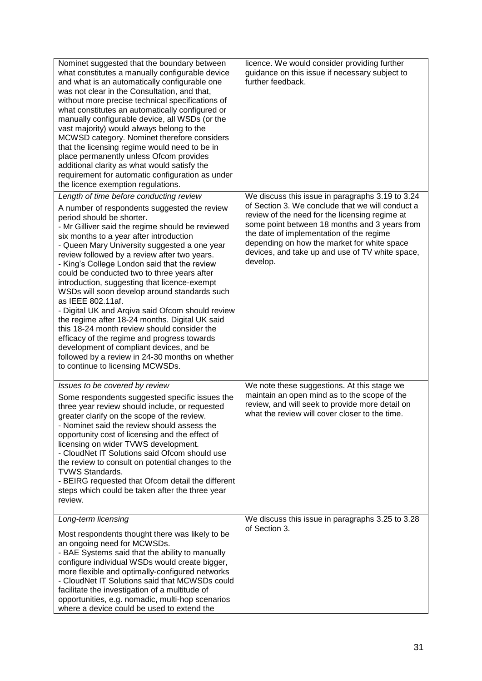| Nominet suggested that the boundary between<br>what constitutes a manually configurable device<br>and what is an automatically configurable one<br>was not clear in the Consultation, and that,<br>without more precise technical specifications of<br>what constitutes an automatically configured or<br>manually configurable device, all WSDs (or the<br>vast majority) would always belong to the<br>MCWSD category. Nominet therefore considers<br>that the licensing regime would need to be in<br>place permanently unless Ofcom provides<br>additional clarity as what would satisfy the<br>requirement for automatic configuration as under<br>the licence exemption regulations.                                                                                                                                                                                     | licence. We would consider providing further<br>guidance on this issue if necessary subject to<br>further feedback.                                                                                                                                                                                                                                               |
|--------------------------------------------------------------------------------------------------------------------------------------------------------------------------------------------------------------------------------------------------------------------------------------------------------------------------------------------------------------------------------------------------------------------------------------------------------------------------------------------------------------------------------------------------------------------------------------------------------------------------------------------------------------------------------------------------------------------------------------------------------------------------------------------------------------------------------------------------------------------------------|-------------------------------------------------------------------------------------------------------------------------------------------------------------------------------------------------------------------------------------------------------------------------------------------------------------------------------------------------------------------|
| Length of time before conducting review<br>A number of respondents suggested the review<br>period should be shorter.<br>- Mr Gilliver said the regime should be reviewed<br>six months to a year after introduction<br>- Queen Mary University suggested a one year<br>review followed by a review after two years.<br>- King's College London said that the review<br>could be conducted two to three years after<br>introduction, suggesting that licence-exempt<br>WSDs will soon develop around standards such<br>as IEEE 802.11af.<br>- Digital UK and Arqiva said Ofcom should review<br>the regime after 18-24 months. Digital UK said<br>this 18-24 month review should consider the<br>efficacy of the regime and progress towards<br>development of compliant devices, and be<br>followed by a review in 24-30 months on whether<br>to continue to licensing MCWSDs. | We discuss this issue in paragraphs 3.19 to 3.24<br>of Section 3. We conclude that we will conduct a<br>review of the need for the licensing regime at<br>some point between 18 months and 3 years from<br>the date of implementation of the regime<br>depending on how the market for white space<br>devices, and take up and use of TV white space,<br>develop. |
| Issues to be covered by review<br>Some respondents suggested specific issues the<br>three year review should include, or requested<br>greater clarify on the scope of the review.<br>- Nominet said the review should assess the<br>opportunity cost of licensing and the effect of<br>licensing on wider TVWS development.<br>- CloudNet IT Solutions said Ofcom should use<br>the review to consult on potential changes to the<br><b>TVWS Standards.</b><br>- BEIRG requested that Ofcom detail the different<br>steps which could be taken after the three year<br>review.                                                                                                                                                                                                                                                                                                 | We note these suggestions. At this stage we<br>maintain an open mind as to the scope of the<br>review, and will seek to provide more detail on<br>what the review will cover closer to the time.                                                                                                                                                                  |
| Long-term licensing<br>Most respondents thought there was likely to be<br>an ongoing need for MCWSDs.<br>- BAE Systems said that the ability to manually<br>configure individual WSDs would create bigger,<br>more flexible and optimally-configured networks<br>- CloudNet IT Solutions said that MCWSDs could<br>facilitate the investigation of a multitude of<br>opportunities, e.g. nomadic, multi-hop scenarios<br>where a device could be used to extend the                                                                                                                                                                                                                                                                                                                                                                                                            | We discuss this issue in paragraphs 3.25 to 3.28<br>of Section 3.                                                                                                                                                                                                                                                                                                 |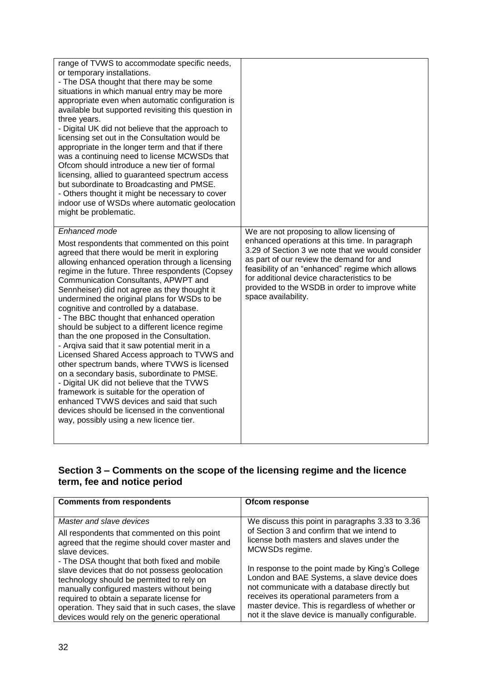| range of TVWS to accommodate specific needs,<br>or temporary installations.<br>- The DSA thought that there may be some<br>situations in which manual entry may be more<br>appropriate even when automatic configuration is<br>available but supported revisiting this question in<br>three years.<br>- Digital UK did not believe that the approach to<br>licensing set out in the Consultation would be<br>appropriate in the longer term and that if there<br>was a continuing need to license MCWSDs that<br>Ofcom should introduce a new tier of formal<br>licensing, allied to guaranteed spectrum access<br>but subordinate to Broadcasting and PMSE.<br>- Others thought it might be necessary to cover<br>indoor use of WSDs where automatic geolocation                                                                                                                                                                                                                                                   |                                                                                                                                                                                                                                                                                                                                                                          |
|---------------------------------------------------------------------------------------------------------------------------------------------------------------------------------------------------------------------------------------------------------------------------------------------------------------------------------------------------------------------------------------------------------------------------------------------------------------------------------------------------------------------------------------------------------------------------------------------------------------------------------------------------------------------------------------------------------------------------------------------------------------------------------------------------------------------------------------------------------------------------------------------------------------------------------------------------------------------------------------------------------------------|--------------------------------------------------------------------------------------------------------------------------------------------------------------------------------------------------------------------------------------------------------------------------------------------------------------------------------------------------------------------------|
| might be problematic.<br>Enhanced mode<br>Most respondents that commented on this point<br>agreed that there would be merit in exploring<br>allowing enhanced operation through a licensing<br>regime in the future. Three respondents (Copsey<br>Communication Consultants, APWPT and<br>Sennheiser) did not agree as they thought it<br>undermined the original plans for WSDs to be<br>cognitive and controlled by a database.<br>- The BBC thought that enhanced operation<br>should be subject to a different licence regime<br>than the one proposed in the Consultation.<br>- Arqiva said that it saw potential merit in a<br>Licensed Shared Access approach to TVWS and<br>other spectrum bands, where TVWS is licensed<br>on a secondary basis, subordinate to PMSE.<br>- Digital UK did not believe that the TVWS<br>framework is suitable for the operation of<br>enhanced TVWS devices and said that such<br>devices should be licensed in the conventional<br>way, possibly using a new licence tier. | We are not proposing to allow licensing of<br>enhanced operations at this time. In paragraph<br>3.29 of Section 3 we note that we would consider<br>as part of our review the demand for and<br>feasibility of an "enhanced" regime which allows<br>for additional device characteristics to be<br>provided to the WSDB in order to improve white<br>space availability. |

#### **Section 3 – Comments on the scope of the licensing regime and the licence term, fee and notice period**

| <b>Comments from respondents</b>                                                                                                                                                                                                                                                                                                            | Ofcom response                                                                                                                                                                                                                                                                                       |
|---------------------------------------------------------------------------------------------------------------------------------------------------------------------------------------------------------------------------------------------------------------------------------------------------------------------------------------------|------------------------------------------------------------------------------------------------------------------------------------------------------------------------------------------------------------------------------------------------------------------------------------------------------|
| Master and slave devices                                                                                                                                                                                                                                                                                                                    | We discuss this point in paragraphs 3.33 to 3.36                                                                                                                                                                                                                                                     |
| All respondents that commented on this point                                                                                                                                                                                                                                                                                                | of Section 3 and confirm that we intend to                                                                                                                                                                                                                                                           |
| agreed that the regime should cover master and                                                                                                                                                                                                                                                                                              | license both masters and slaves under the                                                                                                                                                                                                                                                            |
| slave devices.                                                                                                                                                                                                                                                                                                                              | MCWSDs regime.                                                                                                                                                                                                                                                                                       |
| - The DSA thought that both fixed and mobile<br>slave devices that do not possess geolocation<br>technology should be permitted to rely on<br>manually configured masters without being<br>required to obtain a separate license for<br>operation. They said that in such cases, the slave<br>devices would rely on the generic operational | In response to the point made by King's College<br>London and BAE Systems, a slave device does<br>not communicate with a database directly but<br>receives its operational parameters from a<br>master device. This is regardless of whether or<br>not it the slave device is manually configurable. |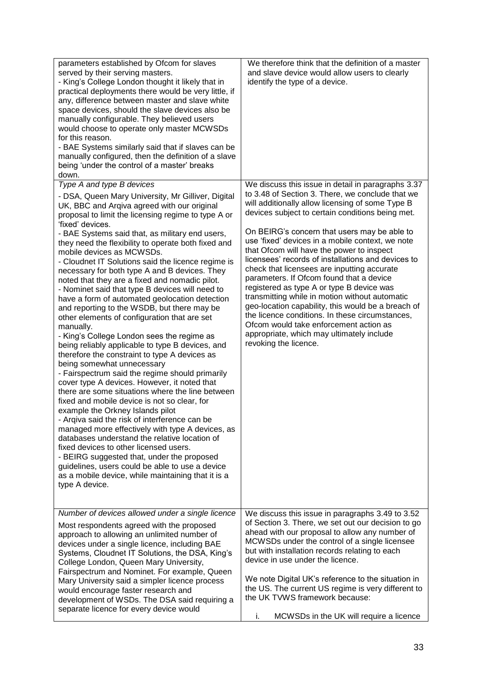| parameters established by Ofcom for slaves<br>served by their serving masters.<br>- King's College London thought it likely that in<br>practical deployments there would be very little, if<br>any, difference between master and slave white<br>space devices, should the slave devices also be<br>manually configurable. They believed users<br>would choose to operate only master MCWSDs<br>for this reason.<br>- BAE Systems similarly said that if slaves can be<br>manually configured, then the definition of a slave<br>being 'under the control of a master' breaks<br>down.                                                                                                                                                                                                                                                                                                                                                                                                                                                                                                                                                                                                                                                                                                                             | We therefore think that the definition of a master<br>and slave device would allow users to clearly<br>identify the type of a device.                                                                                                                                                                                                                                                                                                                                                                                                                                  |
|--------------------------------------------------------------------------------------------------------------------------------------------------------------------------------------------------------------------------------------------------------------------------------------------------------------------------------------------------------------------------------------------------------------------------------------------------------------------------------------------------------------------------------------------------------------------------------------------------------------------------------------------------------------------------------------------------------------------------------------------------------------------------------------------------------------------------------------------------------------------------------------------------------------------------------------------------------------------------------------------------------------------------------------------------------------------------------------------------------------------------------------------------------------------------------------------------------------------------------------------------------------------------------------------------------------------|------------------------------------------------------------------------------------------------------------------------------------------------------------------------------------------------------------------------------------------------------------------------------------------------------------------------------------------------------------------------------------------------------------------------------------------------------------------------------------------------------------------------------------------------------------------------|
| Type A and type B devices                                                                                                                                                                                                                                                                                                                                                                                                                                                                                                                                                                                                                                                                                                                                                                                                                                                                                                                                                                                                                                                                                                                                                                                                                                                                                          | We discuss this issue in detail in paragraphs 3.37                                                                                                                                                                                                                                                                                                                                                                                                                                                                                                                     |
| - DSA, Queen Mary University, Mr Gilliver, Digital<br>UK, BBC and Arqiva agreed with our original<br>proposal to limit the licensing regime to type A or<br>'fixed' devices.                                                                                                                                                                                                                                                                                                                                                                                                                                                                                                                                                                                                                                                                                                                                                                                                                                                                                                                                                                                                                                                                                                                                       | to 3.48 of Section 3. There, we conclude that we<br>will additionally allow licensing of some Type B<br>devices subject to certain conditions being met.<br>On BEIRG's concern that users may be able to                                                                                                                                                                                                                                                                                                                                                               |
| - BAE Systems said that, as military end users,<br>they need the flexibility to operate both fixed and<br>mobile devices as MCWSDs.<br>- Cloudnet IT Solutions said the licence regime is<br>necessary for both type A and B devices. They<br>noted that they are a fixed and nomadic pilot.<br>- Nominet said that type B devices will need to<br>have a form of automated geolocation detection<br>and reporting to the WSDB, but there may be<br>other elements of configuration that are set<br>manually.<br>- King's College London sees the regime as<br>being reliably applicable to type B devices, and<br>therefore the constraint to type A devices as<br>being somewhat unnecessary<br>- Fairspectrum said the regime should primarily<br>cover type A devices. However, it noted that<br>there are some situations where the line between<br>fixed and mobile device is not so clear, for<br>example the Orkney Islands pilot<br>- Arqiva said the risk of interference can be<br>managed more effectively with type A devices, as<br>databases understand the relative location of<br>fixed devices to other licensed users.<br>- BEIRG suggested that, under the proposed<br>guidelines, users could be able to use a device<br>as a mobile device, while maintaining that it is a<br>type A device. | use 'fixed' devices in a mobile context, we note<br>that Ofcom will have the power to inspect<br>licensees' records of installations and devices to<br>check that licensees are inputting accurate<br>parameters. If Ofcom found that a device<br>registered as type A or type B device was<br>transmitting while in motion without automatic<br>geo-location capability, this would be a breach of<br>the licence conditions. In these circumstances,<br>Ofcom would take enforcement action as<br>appropriate, which may ultimately include<br>revoking the licence. |
| Number of devices allowed under a single licence                                                                                                                                                                                                                                                                                                                                                                                                                                                                                                                                                                                                                                                                                                                                                                                                                                                                                                                                                                                                                                                                                                                                                                                                                                                                   | We discuss this issue in paragraphs 3.49 to 3.52                                                                                                                                                                                                                                                                                                                                                                                                                                                                                                                       |
| Most respondents agreed with the proposed<br>approach to allowing an unlimited number of<br>devices under a single licence, including BAE<br>Systems, Cloudnet IT Solutions, the DSA, King's<br>College London, Queen Mary University,<br>Fairspectrum and Nominet. For example, Queen                                                                                                                                                                                                                                                                                                                                                                                                                                                                                                                                                                                                                                                                                                                                                                                                                                                                                                                                                                                                                             | of Section 3. There, we set out our decision to go<br>ahead with our proposal to allow any number of<br>MCWSDs under the control of a single licensee<br>but with installation records relating to each<br>device in use under the licence.                                                                                                                                                                                                                                                                                                                            |
| Mary University said a simpler licence process<br>would encourage faster research and<br>development of WSDs. The DSA said requiring a<br>separate licence for every device would                                                                                                                                                                                                                                                                                                                                                                                                                                                                                                                                                                                                                                                                                                                                                                                                                                                                                                                                                                                                                                                                                                                                  | We note Digital UK's reference to the situation in<br>the US. The current US regime is very different to<br>the UK TVWS framework because:<br>MCWSDs in the UK will require a licence<br>i.                                                                                                                                                                                                                                                                                                                                                                            |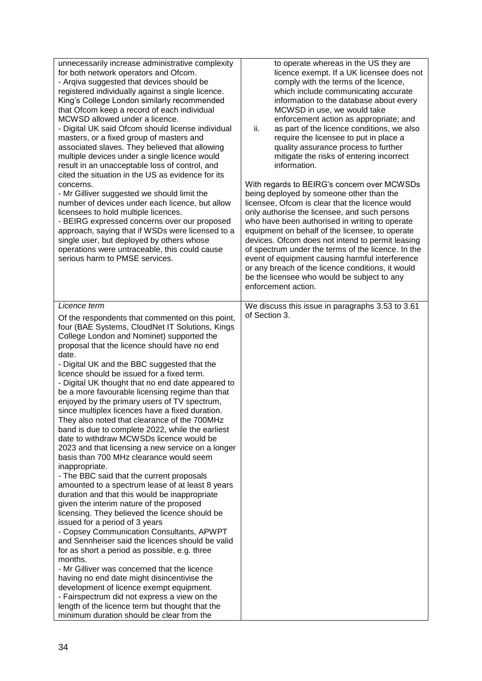| unnecessarily increase administrative complexity<br>for both network operators and Ofcom.<br>- Argiva suggested that devices should be<br>registered individually against a single licence.<br>King's College London similarly recommended<br>that Ofcom keep a record of each individual<br>MCWSD allowed under a licence.<br>- Digital UK said Ofcom should license individual<br>masters, or a fixed group of masters and<br>associated slaves. They believed that allowing<br>multiple devices under a single licence would<br>result in an unacceptable loss of control, and<br>cited the situation in the US as evidence for its<br>concerns.<br>- Mr Gilliver suggested we should limit the<br>number of devices under each licence, but allow<br>licensees to hold multiple licences.<br>- BEIRG expressed concerns over our proposed<br>approach, saying that if WSDs were licensed to a                                                                                                                                                                                                                                                                                                                                                                                                                                                                                                                                                                                                                                             | to operate whereas in the US they are<br>licence exempt. If a UK licensee does not<br>comply with the terms of the licence,<br>which include communicating accurate<br>information to the database about every<br>MCWSD in use, we would take<br>enforcement action as appropriate; and<br>as part of the licence conditions, we also<br>ii.<br>require the licensee to put in place a<br>quality assurance process to further<br>mitigate the risks of entering incorrect<br>information.<br>With regards to BEIRG's concern over MCWSDs<br>being deployed by someone other than the<br>licensee, Ofcom is clear that the licence would<br>only authorise the licensee, and such persons<br>who have been authorised in writing to operate<br>equipment on behalf of the licensee, to operate |
|-----------------------------------------------------------------------------------------------------------------------------------------------------------------------------------------------------------------------------------------------------------------------------------------------------------------------------------------------------------------------------------------------------------------------------------------------------------------------------------------------------------------------------------------------------------------------------------------------------------------------------------------------------------------------------------------------------------------------------------------------------------------------------------------------------------------------------------------------------------------------------------------------------------------------------------------------------------------------------------------------------------------------------------------------------------------------------------------------------------------------------------------------------------------------------------------------------------------------------------------------------------------------------------------------------------------------------------------------------------------------------------------------------------------------------------------------------------------------------------------------------------------------------------------------|------------------------------------------------------------------------------------------------------------------------------------------------------------------------------------------------------------------------------------------------------------------------------------------------------------------------------------------------------------------------------------------------------------------------------------------------------------------------------------------------------------------------------------------------------------------------------------------------------------------------------------------------------------------------------------------------------------------------------------------------------------------------------------------------|
| single user, but deployed by others whose<br>operations were untraceable, this could cause<br>serious harm to PMSE services.                                                                                                                                                                                                                                                                                                                                                                                                                                                                                                                                                                                                                                                                                                                                                                                                                                                                                                                                                                                                                                                                                                                                                                                                                                                                                                                                                                                                                  | devices. Ofcom does not intend to permit leasing<br>of spectrum under the terms of the licence. In the<br>event of equipment causing harmful interference<br>or any breach of the licence conditions, it would<br>be the licensee who would be subject to any<br>enforcement action.                                                                                                                                                                                                                                                                                                                                                                                                                                                                                                           |
| Licence term<br>Of the respondents that commented on this point,<br>four (BAE Systems, CloudNet IT Solutions, Kings<br>College London and Nominet) supported the<br>proposal that the licence should have no end<br>date.<br>- Digital UK and the BBC suggested that the<br>licence should be issued for a fixed term.<br>- Digital UK thought that no end date appeared to<br>be a more favourable licensing regime than that<br>enjoyed by the primary users of TV spectrum,<br>since multiplex licences have a fixed duration.<br>They also noted that clearance of the 700MHz<br>band is due to complete 2022, while the earliest<br>date to withdraw MCWSDs licence would be<br>2023 and that licensing a new service on a longer<br>basis than 700 MHz clearance would seem<br>inappropriate.<br>- The BBC said that the current proposals<br>amounted to a spectrum lease of at least 8 years<br>duration and that this would be inappropriate<br>given the interim nature of the proposed<br>licensing. They believed the licence should be<br>issued for a period of 3 years<br>- Copsey Communication Consultants, APWPT<br>and Sennheiser said the licences should be valid<br>for as short a period as possible, e.g. three<br>months.<br>- Mr Gilliver was concerned that the licence<br>having no end date might disincentivise the<br>development of licence exempt equipment.<br>- Fairspectrum did not express a view on the<br>length of the licence term but thought that the<br>minimum duration should be clear from the | We discuss this issue in paragraphs 3.53 to 3.61<br>of Section 3.                                                                                                                                                                                                                                                                                                                                                                                                                                                                                                                                                                                                                                                                                                                              |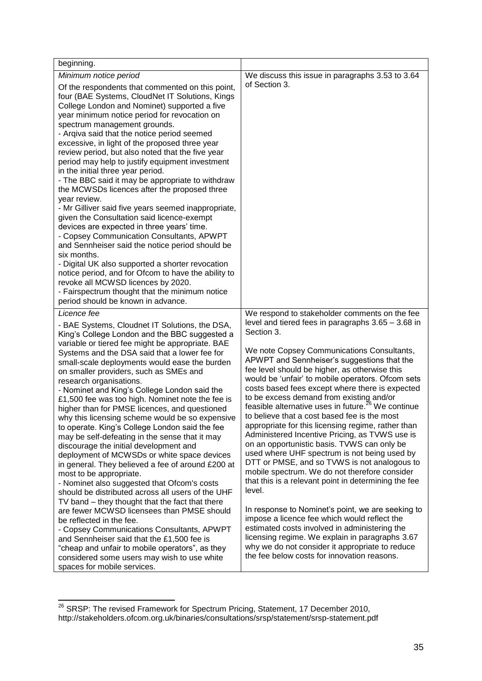| beginning.                                                                                                                                                                                                                                                                                                                                                                                                                                                                                                                                                                                                                                                                                                                                                                                                                                                                                                                                                                                                                                                                                                      |                                                                                                                                                                                                                                                                                                                                                                                                                                                                                                                                                                                                                                                                                                                                                                                                                                                               |
|-----------------------------------------------------------------------------------------------------------------------------------------------------------------------------------------------------------------------------------------------------------------------------------------------------------------------------------------------------------------------------------------------------------------------------------------------------------------------------------------------------------------------------------------------------------------------------------------------------------------------------------------------------------------------------------------------------------------------------------------------------------------------------------------------------------------------------------------------------------------------------------------------------------------------------------------------------------------------------------------------------------------------------------------------------------------------------------------------------------------|---------------------------------------------------------------------------------------------------------------------------------------------------------------------------------------------------------------------------------------------------------------------------------------------------------------------------------------------------------------------------------------------------------------------------------------------------------------------------------------------------------------------------------------------------------------------------------------------------------------------------------------------------------------------------------------------------------------------------------------------------------------------------------------------------------------------------------------------------------------|
| Minimum notice period                                                                                                                                                                                                                                                                                                                                                                                                                                                                                                                                                                                                                                                                                                                                                                                                                                                                                                                                                                                                                                                                                           | We discuss this issue in paragraphs 3.53 to 3.64                                                                                                                                                                                                                                                                                                                                                                                                                                                                                                                                                                                                                                                                                                                                                                                                              |
| Of the respondents that commented on this point,<br>four (BAE Systems, CloudNet IT Solutions, Kings<br>College London and Nominet) supported a five<br>year minimum notice period for revocation on<br>spectrum management grounds.<br>- Arqiva said that the notice period seemed<br>excessive, in light of the proposed three year<br>review period, but also noted that the five year<br>period may help to justify equipment investment<br>in the initial three year period.<br>- The BBC said it may be appropriate to withdraw<br>the MCWSDs licences after the proposed three<br>year review.<br>- Mr Gilliver said five years seemed inappropriate,<br>given the Consultation said licence-exempt<br>devices are expected in three years' time.<br>- Copsey Communication Consultants, APWPT<br>and Sennheiser said the notice period should be<br>six months.<br>- Digital UK also supported a shorter revocation<br>notice period, and for Ofcom to have the ability to<br>revoke all MCWSD licences by 2020.<br>- Fairspectrum thought that the minimum notice<br>period should be known in advance. | of Section 3.                                                                                                                                                                                                                                                                                                                                                                                                                                                                                                                                                                                                                                                                                                                                                                                                                                                 |
| Licence fee                                                                                                                                                                                                                                                                                                                                                                                                                                                                                                                                                                                                                                                                                                                                                                                                                                                                                                                                                                                                                                                                                                     | We respond to stakeholder comments on the fee<br>level and tiered fees in paragraphs 3.65 - 3.68 in                                                                                                                                                                                                                                                                                                                                                                                                                                                                                                                                                                                                                                                                                                                                                           |
| - BAE Systems, Cloudnet IT Solutions, the DSA,<br>King's College London and the BBC suggested a<br>variable or tiered fee might be appropriate. BAE<br>Systems and the DSA said that a lower fee for<br>small-scale deployments would ease the burden<br>on smaller providers, such as SMEs and<br>research organisations.<br>- Nominet and King's College London said the<br>£1,500 fee was too high. Nominet note the fee is<br>higher than for PMSE licences, and questioned<br>why this licensing scheme would be so expensive<br>to operate. King's College London said the fee<br>may be self-defeating in the sense that it may<br>discourage the initial development and<br>deployment of MCWSDs or white space devices<br>in general. They believed a fee of around £200 at<br>most to be appropriate.<br>- Nominet also suggested that Ofcom's costs<br>should be distributed across all users of the UHF<br>TV band - they thought that the fact that there                                                                                                                                          | Section 3.<br>We note Copsey Communications Consultants,<br>APWPT and Sennheiser's suggestions that the<br>fee level should be higher, as otherwise this<br>would be 'unfair' to mobile operators. Ofcom sets<br>costs based fees except where there is expected<br>to be excess demand from existing and/or<br>feasible alternative uses in future. <sup>26</sup> We continue<br>to believe that a cost based fee is the most<br>appropriate for this licensing regime, rather than<br>Administered Incentive Pricing, as TVWS use is<br>on an opportunistic basis. TVWS can only be<br>used where UHF spectrum is not being used by<br>DTT or PMSE, and so TVWS is not analogous to<br>mobile spectrum. We do not therefore consider<br>that this is a relevant point in determining the fee<br>level.<br>In response to Nominet's point, we are seeking to |
| are fewer MCWSD licensees than PMSE should<br>be reflected in the fee.<br>- Copsey Communications Consultants, APWPT<br>and Sennheiser said that the £1,500 fee is<br>"cheap and unfair to mobile operators", as they<br>considered some users may wish to use white<br>spaces for mobile services.                                                                                                                                                                                                                                                                                                                                                                                                                                                                                                                                                                                                                                                                                                                                                                                                             | impose a licence fee which would reflect the<br>estimated costs involved in administering the<br>licensing regime. We explain in paragraphs 3.67<br>why we do not consider it appropriate to reduce<br>the fee below costs for innovation reasons.                                                                                                                                                                                                                                                                                                                                                                                                                                                                                                                                                                                                            |

 $26$  SRSP: The revised Framework for Spectrum Pricing, Statement, 17 December 2010, http://stakeholders.ofcom.org.uk/binaries/consultations/srsp/statement/srsp-statement.pdf

-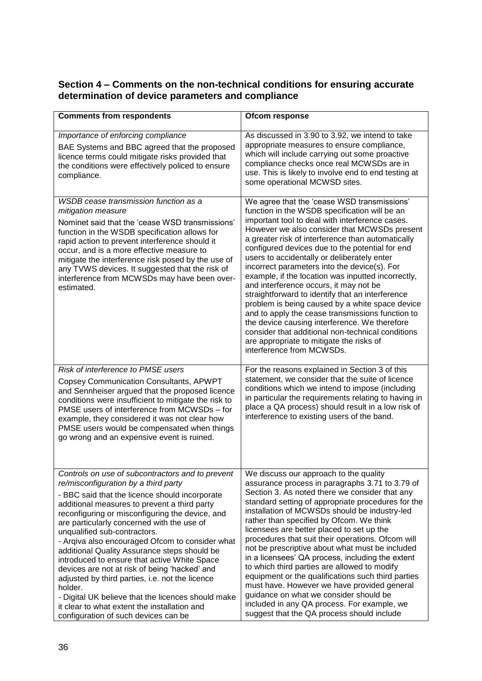#### **Section 4 – Comments on the non-technical conditions for ensuring accurate determination of device parameters and compliance**

| <b>Comments from respondents</b>                                                                                                                                                                                                                                                                                                                                                                                                                                                                                                                                                                                                                                                                                                            | Ofcom response                                                                                                                                                                                                                                                                                                                                                                                                                                                                                                                                                                                                                                                                                                                                                                                                                                   |
|---------------------------------------------------------------------------------------------------------------------------------------------------------------------------------------------------------------------------------------------------------------------------------------------------------------------------------------------------------------------------------------------------------------------------------------------------------------------------------------------------------------------------------------------------------------------------------------------------------------------------------------------------------------------------------------------------------------------------------------------|--------------------------------------------------------------------------------------------------------------------------------------------------------------------------------------------------------------------------------------------------------------------------------------------------------------------------------------------------------------------------------------------------------------------------------------------------------------------------------------------------------------------------------------------------------------------------------------------------------------------------------------------------------------------------------------------------------------------------------------------------------------------------------------------------------------------------------------------------|
| Importance of enforcing compliance<br>BAE Systems and BBC agreed that the proposed<br>licence terms could mitigate risks provided that<br>the conditions were effectively policed to ensure<br>compliance.                                                                                                                                                                                                                                                                                                                                                                                                                                                                                                                                  | As discussed in 3.90 to 3.92, we intend to take<br>appropriate measures to ensure compliance,<br>which will include carrying out some proactive<br>compliance checks once real MCWSDs are in<br>use. This is likely to involve end to end testing at<br>some operational MCWSD sites.                                                                                                                                                                                                                                                                                                                                                                                                                                                                                                                                                            |
| WSDB cease transmission function as a<br>mitigation measure<br>Nominet said that the 'cease WSD transmissions'<br>function in the WSDB specification allows for<br>rapid action to prevent interference should it<br>occur, and is a more effective measure to<br>mitigate the interference risk posed by the use of<br>any TVWS devices. It suggested that the risk of<br>interference from MCWSDs may have been over-<br>estimated.                                                                                                                                                                                                                                                                                                       | We agree that the 'cease WSD transmissions'<br>function in the WSDB specification will be an<br>important tool to deal with interference cases.<br>However we also consider that MCWSDs present<br>a greater risk of interference than automatically<br>configured devices due to the potential for end<br>users to accidentally or deliberately enter<br>incorrect parameters into the device(s). For<br>example, if the location was inputted incorrectly,<br>and interference occurs, it may not be<br>straightforward to identify that an interference<br>problem is being caused by a white space device<br>and to apply the cease transmissions function to<br>the device causing interference. We therefore<br>consider that additional non-technical conditions<br>are appropriate to mitigate the risks of<br>interference from MCWSDs. |
| Risk of interference to PMSE users<br>Copsey Communication Consultants, APWPT<br>and Sennheiser argued that the proposed licence<br>conditions were insufficient to mitigate the risk to<br>PMSE users of interference from MCWSDs - for<br>example, they considered it was not clear how<br>PMSE users would be compensated when things<br>go wrong and an expensive event is ruined.                                                                                                                                                                                                                                                                                                                                                      | For the reasons explained in Section 3 of this<br>statement, we consider that the suite of licence<br>conditions which we intend to impose (including<br>in particular the requirements relating to having in<br>place a QA process) should result in a low risk of<br>interference to existing users of the band.                                                                                                                                                                                                                                                                                                                                                                                                                                                                                                                               |
| Controls on use of subcontractors and to prevent<br>re/misconfiguration by a third party<br>- BBC said that the licence should incorporate<br>additional measures to prevent a third party<br>reconfiguring or misconfiguring the device, and<br>are particularly concerned with the use of<br>unqualified sub-contractors.<br>- Argiva also encouraged Ofcom to consider what<br>additional Quality Assurance steps should be<br>introduced to ensure that active White Space<br>devices are not at risk of being 'hacked' and<br>adjusted by third parties, i.e. not the licence<br>holder.<br>- Digital UK believe that the licences should make<br>it clear to what extent the installation and<br>configuration of such devices can be | We discuss our approach to the quality<br>assurance process in paragraphs 3.71 to 3.79 of<br>Section 3. As noted there we consider that any<br>standard setting of appropriate procedures for the<br>installation of MCWSDs should be industry-led<br>rather than specified by Ofcom. We think<br>licensees are better placed to set up the<br>procedures that suit their operations. Ofcom will<br>not be prescriptive about what must be included<br>in a licensees' QA process, including the extent<br>to which third parties are allowed to modify<br>equipment or the qualifications such third parties<br>must have. However we have provided general<br>guidance on what we consider should be<br>included in any QA process. For example, we<br>suggest that the QA process should include                                              |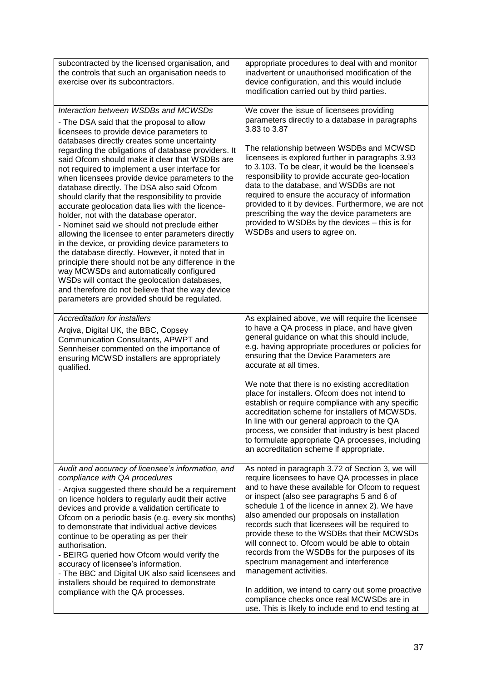| subcontracted by the licensed organisation, and<br>the controls that such an organisation needs to<br>exercise over its subcontractors.                                                                                                                                                                                                                                                                                                                                                                                                                                                                                                                                                                                                                                                                                                                                                                                                                                                                                                                           | appropriate procedures to deal with and monitor<br>inadvertent or unauthorised modification of the<br>device configuration, and this would include<br>modification carried out by third parties.                                                                                                                                                                                                                                                                                                                                                                                                                                                                                                                                          |
|-------------------------------------------------------------------------------------------------------------------------------------------------------------------------------------------------------------------------------------------------------------------------------------------------------------------------------------------------------------------------------------------------------------------------------------------------------------------------------------------------------------------------------------------------------------------------------------------------------------------------------------------------------------------------------------------------------------------------------------------------------------------------------------------------------------------------------------------------------------------------------------------------------------------------------------------------------------------------------------------------------------------------------------------------------------------|-------------------------------------------------------------------------------------------------------------------------------------------------------------------------------------------------------------------------------------------------------------------------------------------------------------------------------------------------------------------------------------------------------------------------------------------------------------------------------------------------------------------------------------------------------------------------------------------------------------------------------------------------------------------------------------------------------------------------------------------|
| Interaction between WSDBs and MCWSDs<br>- The DSA said that the proposal to allow<br>licensees to provide device parameters to<br>databases directly creates some uncertainty<br>regarding the obligations of database providers. It<br>said Ofcom should make it clear that WSDBs are<br>not required to implement a user interface for<br>when licensees provide device parameters to the<br>database directly. The DSA also said Ofcom<br>should clarify that the responsibility to provide<br>accurate geolocation data lies with the licence-<br>holder, not with the database operator.<br>- Nominet said we should not preclude either<br>allowing the licensee to enter parameters directly<br>in the device, or providing device parameters to<br>the database directly. However, it noted that in<br>principle there should not be any difference in the<br>way MCWSDs and automatically configured<br>WSDs will contact the geolocation databases,<br>and therefore do not believe that the way device<br>parameters are provided should be regulated. | We cover the issue of licensees providing<br>parameters directly to a database in paragraphs<br>3.83 to 3.87<br>The relationship between WSDBs and MCWSD<br>licensees is explored further in paragraphs 3.93<br>to 3.103. To be clear, it would be the licensee's<br>responsibility to provide accurate geo-location<br>data to the database, and WSDBs are not<br>required to ensure the accuracy of information<br>provided to it by devices. Furthermore, we are not<br>prescribing the way the device parameters are<br>provided to WSDBs by the devices - this is for<br>WSDBs and users to agree on.                                                                                                                                |
| <b>Accreditation for installers</b><br>Arqiva, Digital UK, the BBC, Copsey<br>Communication Consultants, APWPT and<br>Sennheiser commented on the importance of<br>ensuring MCWSD installers are appropriately<br>qualified.                                                                                                                                                                                                                                                                                                                                                                                                                                                                                                                                                                                                                                                                                                                                                                                                                                      | As explained above, we will require the licensee<br>to have a QA process in place, and have given<br>general guidance on what this should include,<br>e.g. having appropriate procedures or policies for<br>ensuring that the Device Parameters are<br>accurate at all times.<br>We note that there is no existing accreditation<br>place for installers. Ofcom does not intend to<br>establish or require compliance with any specific<br>accreditation scheme for installers of MCWSDs.<br>In line with our general approach to the QA<br>process, we consider that industry is best placed<br>to formulate appropriate QA processes, including<br>an accreditation scheme if appropriate.                                              |
| Audit and accuracy of licensee's information, and<br>compliance with QA procedures<br>- Argiva suggested there should be a requirement<br>on licence holders to regularly audit their active<br>devices and provide a validation certificate to<br>Ofcom on a periodic basis (e.g. every six months)<br>to demonstrate that individual active devices<br>continue to be operating as per their<br>authorisation.<br>- BEIRG queried how Ofcom would verify the<br>accuracy of licensee's information.<br>- The BBC and Digital UK also said licensees and<br>installers should be required to demonstrate<br>compliance with the QA processes.                                                                                                                                                                                                                                                                                                                                                                                                                    | As noted in paragraph 3.72 of Section 3, we will<br>require licensees to have QA processes in place<br>and to have these available for Ofcom to request<br>or inspect (also see paragraphs 5 and 6 of<br>schedule 1 of the licence in annex 2). We have<br>also amended our proposals on installation<br>records such that licensees will be required to<br>provide these to the WSDBs that their MCWSDs<br>will connect to. Ofcom would be able to obtain<br>records from the WSDBs for the purposes of its<br>spectrum management and interference<br>management activities.<br>In addition, we intend to carry out some proactive<br>compliance checks once real MCWSDs are in<br>use. This is likely to include end to end testing at |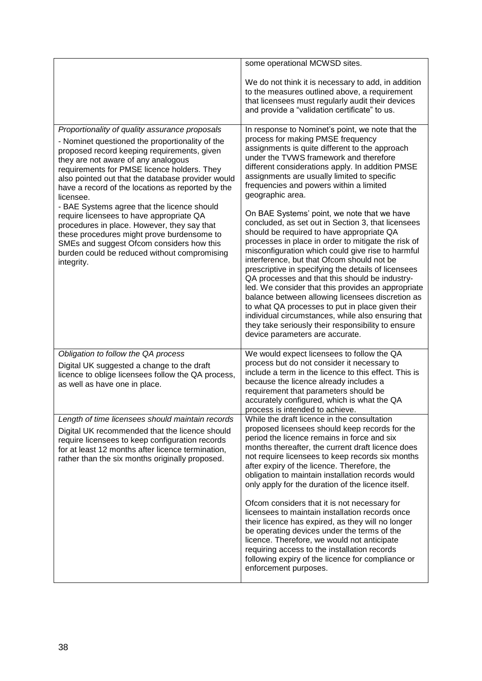|                                                                                                                                                                                                                                                                                                                                                                                                                                                                                                                                                                                                                                                                  | some operational MCWSD sites.                                                                                                                                                                                                                                                                                                                                                                                                                                                                                                                                                                                                                                                                                                                                                                                                                                                                                                                                                                                                                                                         |
|------------------------------------------------------------------------------------------------------------------------------------------------------------------------------------------------------------------------------------------------------------------------------------------------------------------------------------------------------------------------------------------------------------------------------------------------------------------------------------------------------------------------------------------------------------------------------------------------------------------------------------------------------------------|---------------------------------------------------------------------------------------------------------------------------------------------------------------------------------------------------------------------------------------------------------------------------------------------------------------------------------------------------------------------------------------------------------------------------------------------------------------------------------------------------------------------------------------------------------------------------------------------------------------------------------------------------------------------------------------------------------------------------------------------------------------------------------------------------------------------------------------------------------------------------------------------------------------------------------------------------------------------------------------------------------------------------------------------------------------------------------------|
|                                                                                                                                                                                                                                                                                                                                                                                                                                                                                                                                                                                                                                                                  | We do not think it is necessary to add, in addition<br>to the measures outlined above, a requirement<br>that licensees must regularly audit their devices<br>and provide a "validation certificate" to us.                                                                                                                                                                                                                                                                                                                                                                                                                                                                                                                                                                                                                                                                                                                                                                                                                                                                            |
| Proportionality of quality assurance proposals<br>- Nominet questioned the proportionality of the<br>proposed record keeping requirements, given<br>they are not aware of any analogous<br>requirements for PMSE licence holders. They<br>also pointed out that the database provider would<br>have a record of the locations as reported by the<br>licensee.<br>- BAE Systems agree that the licence should<br>require licensees to have appropriate QA<br>procedures in place. However, they say that<br>these procedures might prove burdensome to<br>SMEs and suggest Ofcom considers how this<br>burden could be reduced without compromising<br>integrity. | In response to Nominet's point, we note that the<br>process for making PMSE frequency<br>assignments is quite different to the approach<br>under the TVWS framework and therefore<br>different considerations apply. In addition PMSE<br>assignments are usually limited to specific<br>frequencies and powers within a limited<br>geographic area.<br>On BAE Systems' point, we note that we have<br>concluded, as set out in Section 3, that licensees<br>should be required to have appropriate QA<br>processes in place in order to mitigate the risk of<br>misconfiguration which could give rise to harmful<br>interference, but that Ofcom should not be<br>prescriptive in specifying the details of licensees<br>QA processes and that this should be industry-<br>led. We consider that this provides an appropriate<br>balance between allowing licensees discretion as<br>to what QA processes to put in place given their<br>individual circumstances, while also ensuring that<br>they take seriously their responsibility to ensure<br>device parameters are accurate. |
| Obligation to follow the QA process<br>Digital UK suggested a change to the draft<br>licence to oblige licensees follow the QA process,<br>as well as have one in place.                                                                                                                                                                                                                                                                                                                                                                                                                                                                                         | We would expect licensees to follow the QA<br>process but do not consider it necessary to<br>include a term in the licence to this effect. This is<br>because the licence already includes a<br>requirement that parameters should be<br>accurately configured, which is what the QA<br>process is intended to achieve.                                                                                                                                                                                                                                                                                                                                                                                                                                                                                                                                                                                                                                                                                                                                                               |
| Length of time licensees should maintain records<br>Digital UK recommended that the licence should<br>require licensees to keep configuration records<br>for at least 12 months after licence termination,<br>rather than the six months originally proposed.                                                                                                                                                                                                                                                                                                                                                                                                    | While the draft licence in the consultation<br>proposed licensees should keep records for the<br>period the licence remains in force and six<br>months thereafter, the current draft licence does<br>not require licensees to keep records six months<br>after expiry of the licence. Therefore, the<br>obligation to maintain installation records would<br>only apply for the duration of the licence itself.<br>Ofcom considers that it is not necessary for                                                                                                                                                                                                                                                                                                                                                                                                                                                                                                                                                                                                                       |
|                                                                                                                                                                                                                                                                                                                                                                                                                                                                                                                                                                                                                                                                  | licensees to maintain installation records once<br>their licence has expired, as they will no longer<br>be operating devices under the terms of the<br>licence. Therefore, we would not anticipate<br>requiring access to the installation records<br>following expiry of the licence for compliance or<br>enforcement purposes.                                                                                                                                                                                                                                                                                                                                                                                                                                                                                                                                                                                                                                                                                                                                                      |